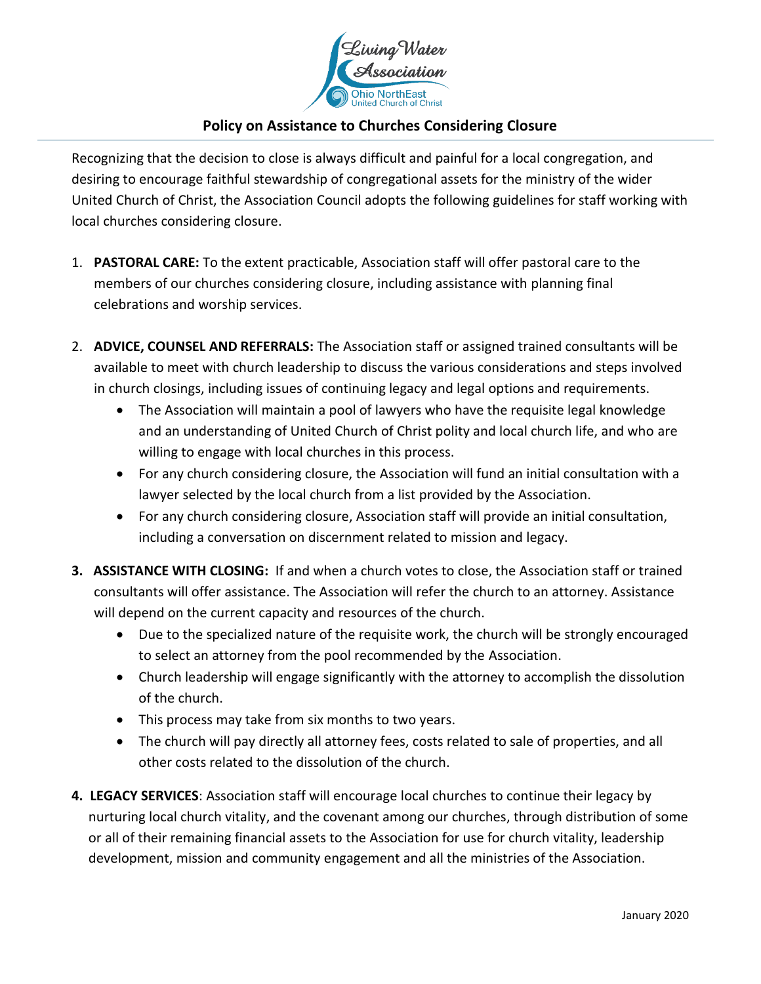

## **Policy on Assistance to Churches Considering Closure**

Recognizing that the decision to close is always difficult and painful for a local congregation, and desiring to encourage faithful stewardship of congregational assets for the ministry of the wider United Church of Christ, the Association Council adopts the following guidelines for staff working with local churches considering closure.

- 1. **PASTORAL CARE:** To the extent practicable, Association staff will offer pastoral care to the members of our churches considering closure, including assistance with planning final celebrations and worship services.
- 2. **ADVICE, COUNSEL AND REFERRALS:** The Association staff or assigned trained consultants will be available to meet with church leadership to discuss the various considerations and steps involved in church closings, including issues of continuing legacy and legal options and requirements.
	- The Association will maintain a pool of lawyers who have the requisite legal knowledge and an understanding of United Church of Christ polity and local church life, and who are willing to engage with local churches in this process.
	- For any church considering closure, the Association will fund an initial consultation with a lawyer selected by the local church from a list provided by the Association.
	- For any church considering closure, Association staff will provide an initial consultation, including a conversation on discernment related to mission and legacy.
- **3. ASSISTANCE WITH CLOSING:** If and when a church votes to close, the Association staff or trained consultants will offer assistance. The Association will refer the church to an attorney. Assistance will depend on the current capacity and resources of the church.
	- Due to the specialized nature of the requisite work, the church will be strongly encouraged to select an attorney from the pool recommended by the Association.
	- Church leadership will engage significantly with the attorney to accomplish the dissolution of the church.
	- This process may take from six months to two years.
	- The church will pay directly all attorney fees, costs related to sale of properties, and all other costs related to the dissolution of the church.
- **4. LEGACY SERVICES**: Association staff will encourage local churches to continue their legacy by nurturing local church vitality, and the covenant among our churches, through distribution of some or all of their remaining financial assets to the Association for use for church vitality, leadership development, mission and community engagement and all the ministries of the Association.